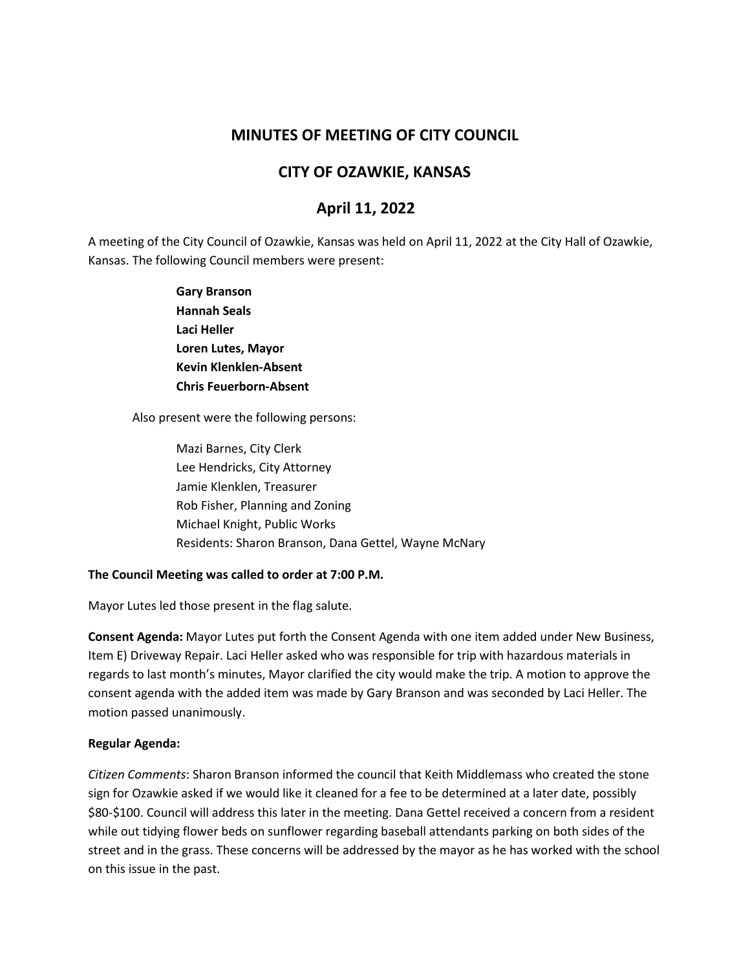# **MINUTES OF MEETING OF CITY COUNCIL**

# **CITY OF OZAWKIE, KANSAS**

# **April 11, 2022**

A meeting of the City Council of Ozawkie, Kansas was held on April 11, 2022 at the City Hall of Ozawkie, Kansas. The following Council members were present:

> **Gary Branson Hannah Seals Laci Heller Loren Lutes, Mayor Kevin Klenklen-Absent Chris Feuerborn-Absent**

Also present were the following persons:

Mazi Barnes, City Clerk Lee Hendricks, City Attorney Jamie Klenklen, Treasurer Rob Fisher, Planning and Zoning Michael Knight, Public Works Residents: Sharon Branson, Dana Gettel, Wayne McNary

#### **The Council Meeting was called to order at 7:00 P.M.**

Mayor Lutes led those present in the flag salute.

**Consent Agenda:** Mayor Lutes put forth the Consent Agenda with one item added under New Business, Item E) Driveway Repair. Laci Heller asked who was responsible for trip with hazardous materials in regards to last month's minutes, Mayor clarified the city would make the trip. A motion to approve the consent agenda with the added item was made by Gary Branson and was seconded by Laci Heller. The motion passed unanimously.

#### **Regular Agenda:**

*Citizen Comments*: Sharon Branson informed the council that Keith Middlemass who created the stone sign for Ozawkie asked if we would like it cleaned for a fee to be determined at a later date, possibly \$80-\$100. Council will address this later in the meeting. Dana Gettel received a concern from a resident while out tidying flower beds on sunflower regarding baseball attendants parking on both sides of the street and in the grass. These concerns will be addressed by the mayor as he has worked with the school on this issue in the past.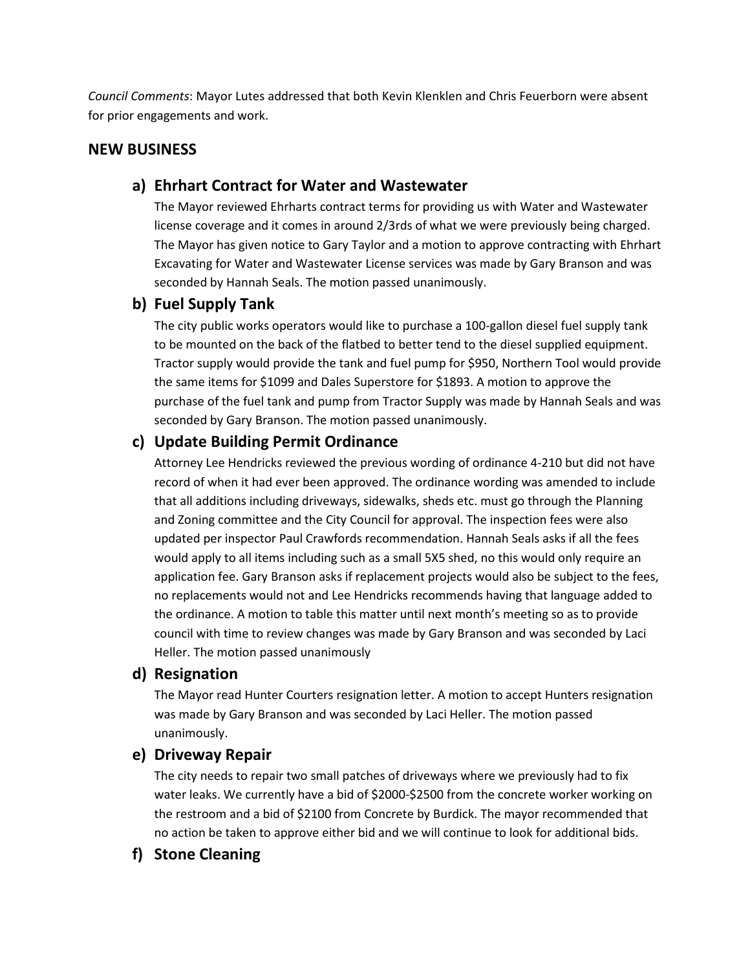*Council Comments*: Mayor Lutes addressed that both Kevin Klenklen and Chris Feuerborn were absent for prior engagements and work.

## **NEW BUSINESS**

### **a) Ehrhart Contract for Water and Wastewater**

The Mayor reviewed Ehrharts contract terms for providing us with Water and Wastewater license coverage and it comes in around 2/3rds of what we were previously being charged. The Mayor has given notice to Gary Taylor and a motion to approve contracting with Ehrhart Excavating for Water and Wastewater License services was made by Gary Branson and was seconded by Hannah Seals. The motion passed unanimously.

### **b) Fuel Supply Tank**

The city public works operators would like to purchase a 100-gallon diesel fuel supply tank to be mounted on the back of the flatbed to better tend to the diesel supplied equipment. Tractor supply would provide the tank and fuel pump for \$950, Northern Tool would provide the same items for \$1099 and Dales Superstore for \$1893. A motion to approve the purchase of the fuel tank and pump from Tractor Supply was made by Hannah Seals and was seconded by Gary Branson. The motion passed unanimously.

#### **c) Update Building Permit Ordinance**

Attorney Lee Hendricks reviewed the previous wording of ordinance 4-210 but did not have record of when it had ever been approved. The ordinance wording was amended to include that all additions including driveways, sidewalks, sheds etc. must go through the Planning and Zoning committee and the City Council for approval. The inspection fees were also updated per inspector Paul Crawfords recommendation. Hannah Seals asks if all the fees would apply to all items including such as a small 5X5 shed, no this would only require an application fee. Gary Branson asks if replacement projects would also be subject to the fees, no replacements would not and Lee Hendricks recommends having that language added to the ordinance. A motion to table this matter until next month's meeting so as to provide council with time to review changes was made by Gary Branson and was seconded by Laci Heller. The motion passed unanimously

#### **d) Resignation**

The Mayor read Hunter Courters resignation letter. A motion to accept Hunters resignation was made by Gary Branson and was seconded by Laci Heller. The motion passed unanimously.

#### **e) Driveway Repair**

The city needs to repair two small patches of driveways where we previously had to fix water leaks. We currently have a bid of \$2000-\$2500 from the concrete worker working on the restroom and a bid of \$2100 from Concrete by Burdick. The mayor recommended that no action be taken to approve either bid and we will continue to look for additional bids.

## **f) Stone Cleaning**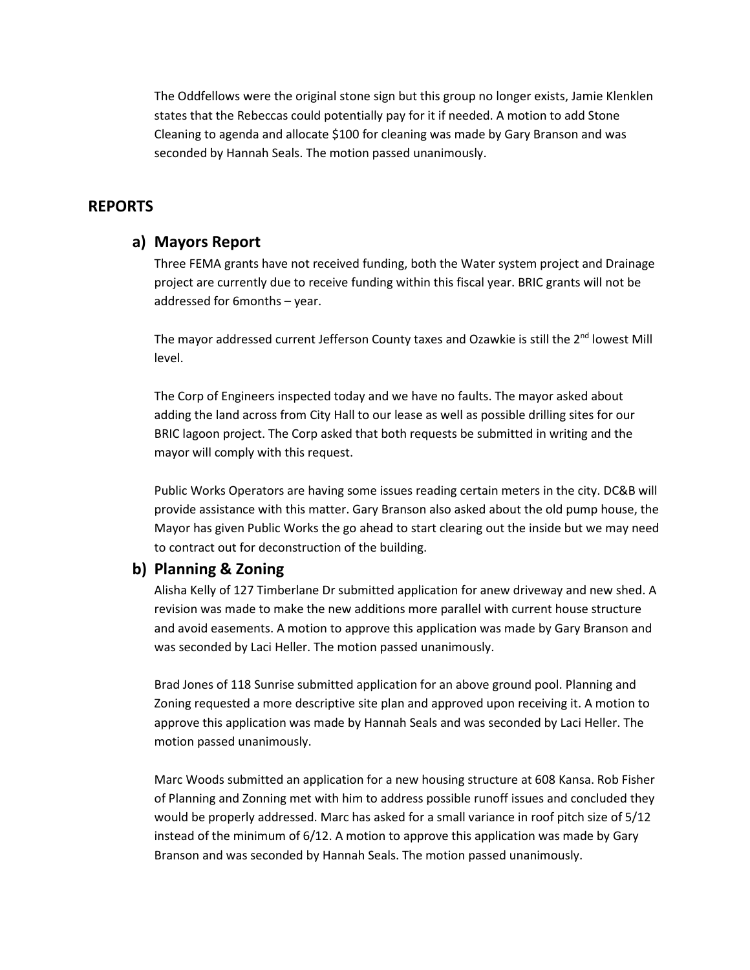The Oddfellows were the original stone sign but this group no longer exists, Jamie Klenklen states that the Rebeccas could potentially pay for it if needed. A motion to add Stone Cleaning to agenda and allocate \$100 for cleaning was made by Gary Branson and was seconded by Hannah Seals. The motion passed unanimously.

## **REPORTS**

### **a) Mayors Report**

Three FEMA grants have not received funding, both the Water system project and Drainage project are currently due to receive funding within this fiscal year. BRIC grants will not be addressed for 6months – year.

The mayor addressed current Jefferson County taxes and Ozawkie is still the 2<sup>nd</sup> lowest Mill level.

The Corp of Engineers inspected today and we have no faults. The mayor asked about adding the land across from City Hall to our lease as well as possible drilling sites for our BRIC lagoon project. The Corp asked that both requests be submitted in writing and the mayor will comply with this request.

Public Works Operators are having some issues reading certain meters in the city. DC&B will provide assistance with this matter. Gary Branson also asked about the old pump house, the Mayor has given Public Works the go ahead to start clearing out the inside but we may need to contract out for deconstruction of the building.

## **b) Planning & Zoning**

Alisha Kelly of 127 Timberlane Dr submitted application for anew driveway and new shed. A revision was made to make the new additions more parallel with current house structure and avoid easements. A motion to approve this application was made by Gary Branson and was seconded by Laci Heller. The motion passed unanimously.

Brad Jones of 118 Sunrise submitted application for an above ground pool. Planning and Zoning requested a more descriptive site plan and approved upon receiving it. A motion to approve this application was made by Hannah Seals and was seconded by Laci Heller. The motion passed unanimously.

Marc Woods submitted an application for a new housing structure at 608 Kansa. Rob Fisher of Planning and Zonning met with him to address possible runoff issues and concluded they would be properly addressed. Marc has asked for a small variance in roof pitch size of 5/12 instead of the minimum of 6/12. A motion to approve this application was made by Gary Branson and was seconded by Hannah Seals. The motion passed unanimously.